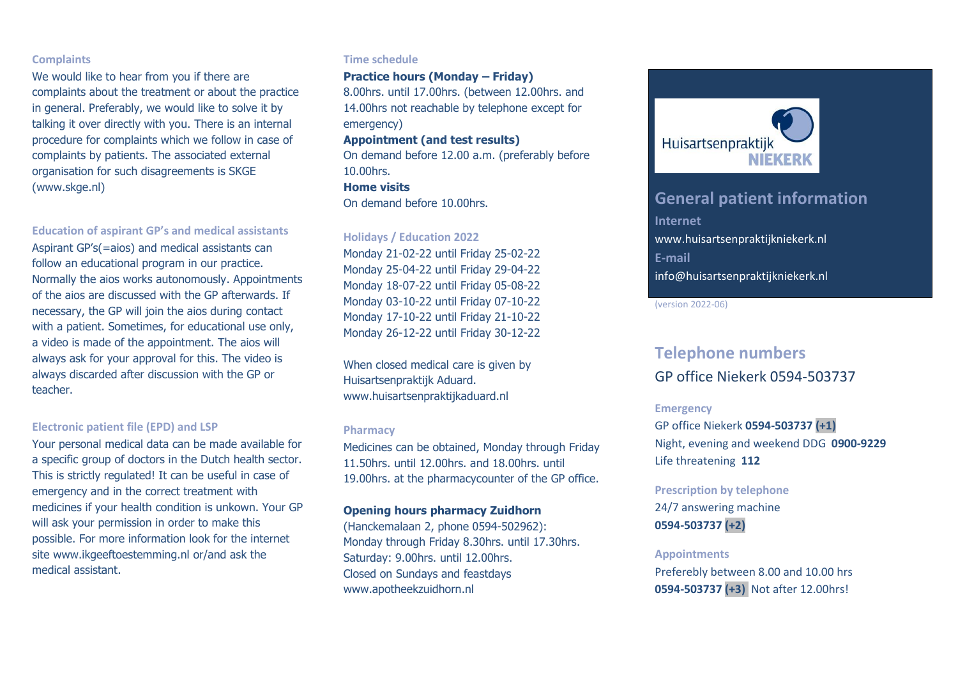# **Complaints**

We would like to hear from you if there are complaints about the treatment or about the practice in general. Preferably, we would like to solve it by talking it over directly with you. There is an internal procedure for complaints which we follow in case of complaints by patients. The associated external organisation for such disagreements is SKGE [\(www.skge.nl\)](http://www.skge.nl/)

# **Education of aspirant GP's and medical assistants**

Aspirant GP's(=aios) and medical assistants can follow an educational program in our practice. Normally the aios works autonomously. Appointments of the aios are discussed with the GP afterwards. If necessary, the GP will join the aios during contact with a patient. Sometimes, for educational use only, a video is made of the appointment. The aios will always ask for your approval for this. The video is always discarded after discussion with the GP or teacher.

### **Electronic patient file (EPD) and LSP**

Your personal medical data can be made available for a specific group of doctors in the Dutch health sector. This is strictly regulated! It can be useful in case of emergency and in the correct treatment with medicines if your health condition is unkown. Your GP will ask your permission in order to make this possible. For more information look for the internet site www.ikgeeftoestemming.nl or/and ask the medical assistant.

#### **Time schedule**

# **Practice hours (Monday – Friday)**

8.00hrs. until 17.00hrs. (between 12.00hrs. and 14.00hrs not reachable by telephone except for emergency)

# **Appointment (and test results)**

On demand before 12.00 a.m. (preferably before 10.00hrs. **Home visits**

On demand before 10.00hrs.

### **Holidays / Education 2022**

Monday 21-02-22 until Friday 25-02-22 Monday 25-04-22 until Friday 29-04-22 Monday 18-07-22 until Friday 05-08-22 Monday 03-10-22 until Friday 07-10-22 Monday 17-10-22 until Friday 21-10-22 Monday 26-12-22 until Friday 30-12-22

When closed medical care is given by Huisartsenpraktijk Aduard. www.huisartsenpraktijkaduard.nl

#### **Pharmacy**

Medicines can be obtained, Monday through Friday 11.50hrs. until 12.00hrs. and 18.00hrs. until 19.00hrs. at the pharmacycounter of the GP office.

# **Opening hours pharmacy Zuidhorn**

(Hanckemalaan 2, phone 0594-502962): Monday through Friday 8.30hrs. until 17.30hrs. Saturday: 9.00hrs. until 12.00hrs. Closed on Sundays and feastdays www.apotheekzuidhorn.nl



# **General patient information Internet** www.huisartsenpraktijkniekerk.nl **E-mail** info@huisartsenpraktijkniekerk.nl

(version 2022-06)

# **Telephone numbers** GP office Niekerk 0594-503737

#### **Emergency**

GP office Niekerk **0594-503737 (+1)** Night, evening and weekend DDG **0900-9229** Life threatening **112**

#### **Prescription by telephone**

24/7 answering machine **0594-503737 (+2)**

#### **Appointments**

Preferebly between 8.00 and 10.00 hrs **0594-503737 (+3)** Not after 12.00hrs!